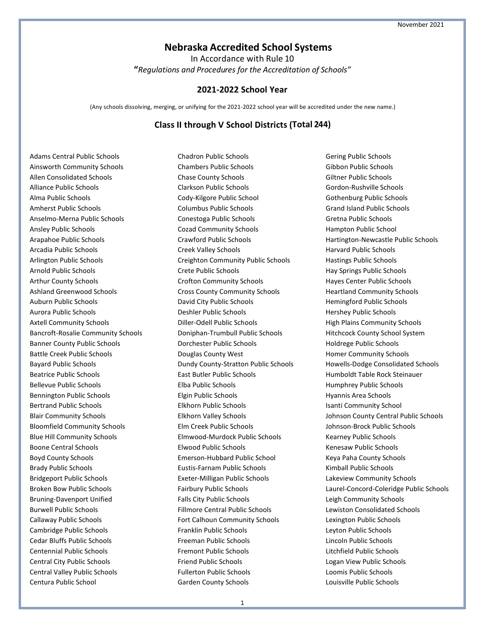## **Nebraska Accredited School Systems**

In Accordance with Rule 10 **"***Regulations and Procedures for the Accreditation of Schools"*

#### **2021-2022 School Year**

(Any schools dissolving, merging, or unifying for the 2021-2022 school year will be accredited under the new name.)

### **Class II through V School Districts (Total 244)**

Adams Central Public Schools Ainsworth Community Schools Allen Consolidated Schools Alliance Public Schools Alma Public Schools Amherst Public Schools Anselmo-Merna Public Schools Ansley Public Schools Arapahoe Public Schools Arcadia Public Schools Arlington Public Schools Arnold Public Schools Arthur County Schools Ashland Greenwood Schools Auburn Public Schools Aurora Public Schools Axtell Community Schools Bancroft-Rosalie Community Schools Banner County Public Schools Battle Creek Public Schools Bayard Public Schools Beatrice Public Schools Bellevue Public Schools Bennington Public Schools Bertrand Public Schools Blair Community Schools Bloomfield Community Schools Blue Hill Community Schools Boone Central Schools Boyd County Schools Brady Public Schools Bridgeport Public Schools Broken Bow Public Schools Bruning-Davenport Unified Burwell Public Schools Callaway Public Schools Cambridge Public Schools Cedar Bluffs Public Schools Centennial Public Schools Central City Public Schools Central Valley Public Schools Centura Public School

Chadron Public Schools Chambers Public Schools Chase County Schools Clarkson Public Schools Cody-Kilgore Public School Columbus Public Schools Conestoga Public Schools Cozad Community Schools Crawford Public Schools Creek Valley Schools Creighton Community Public Schools Crete Public Schools Crofton Community Schools Cross County Community Schools David City Public Schools Deshler Public Schools Diller-Odell Public Schools Doniphan-Trumbull Public Schools Dorchester Public Schools Douglas County West Dundy County-Stratton Public Schools East Butler Public Schools Elba Public Schools Elgin Public Schools Elkhorn Public Schools Elkhorn Valley Schools Elm Creek Public Schools Elmwood-Murdock Public Schools Elwood Public Schools Emerson-Hubbard Public School Eustis-Farnam Public Schools Exeter-Milligan Public Schools Fairbury Public Schools Falls City Public Schools Fillmore Central Public Schools Fort Calhoun Community Schools Franklin Public Schools Freeman Public Schools Fremont Public Schools Friend Public Schools Fullerton Public Schools Garden County Schools

Gering Public Schools Gibbon Public Schools Giltner Public Schools Gordon-Rushville Schools Gothenburg Public Schools Grand Island Public Schools Gretna Public Schools Hampton Public School Hartington-Newcastle Public Schools Harvard Public Schools Hastings Public Schools Hay Springs Public Schools Hayes Center Public Schools Heartland Community Schools Hemingford Public Schools Hershey Public Schools High Plains Community Schools Hitchcock County School System Holdrege Public Schools Homer Community Schools Howells-Dodge Consolidated Schools Humboldt Table Rock Steinauer Humphrey Public Schools Hyannis Area Schools Isanti Community School Johnson County Central Public Schools Johnson-Brock Public Schools Kearney Public Schools Kenesaw Public Schools Keya Paha County Schools Kimball Public Schools Lakeview Community Schools Laurel-Concord-Coleridge Public Schools Leigh Community Schools Lewiston Consolidated Schools Lexington Public Schools Leyton Public Schools Lincoln Public Schools Litchfield Public Schools Logan View Public Schools Loomis Public Schools Louisville Public Schools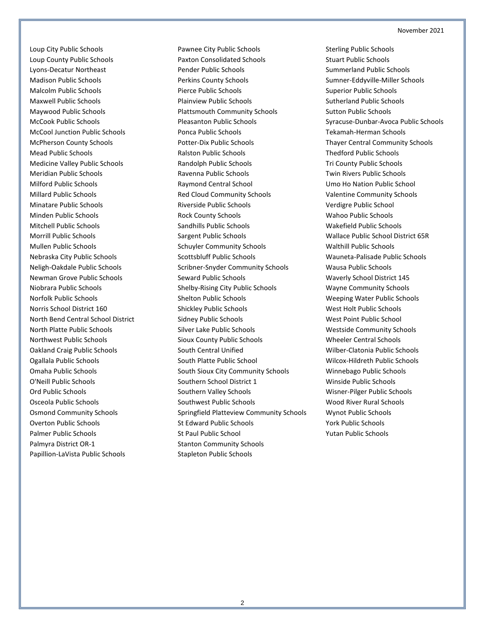Loup City Public Schools Loup County Public Schools Lyons-Decatur Northeast Madison Public Schools Malcolm Public Schools Maxwell Public Schools Maywood Public Schools McCook Public Schools McCool Junction Public Schools McPherson County Schools Mead Public Schools Medicine Valley Public Schools Meridian Public Schools Milford Public Schools Millard Public Schools Minatare Public Schools Minden Public Schools Mitchell Public Schools Morrill Public Schools Mullen Public Schools Nebraska City Public Schools Neligh-Oakdale Public Schools Newman Grove Public Schools Niobrara Public Schools Norfolk Public Schools Norris School District 160 North Bend Central School District North Platte Public Schools Northwest Public Schools Oakland Craig Public Schools Ogallala Public Schools Omaha Public Schools O'Neill Public Schools Ord Public Schools Osceola Public Schools Osmond Community Schools Overton Public Schools Palmer Public Schools Palmyra District OR-1 Papillion-LaVista Public Schools

Pawnee City Public Schools Paxton Consolidated Schools Pender Public Schools Perkins County Schools Pierce Public Schools Plainview Public Schools Plattsmouth Community Schools Pleasanton Public Schools Ponca Public Schools Potter-Dix Public Schools Ralston Public Schools Randolph Public Schools Ravenna Public Schools Raymond Central School Red Cloud Community Schools Riverside Public Schools Rock County Schools Sandhills Public Schools Sargent Public Schools Schuyler Community Schools Scottsbluff Public Schools Scribner-Snyder Community Schools Seward Public Schools Shelby-Rising City Public Schools Shelton Public Schools Shickley Public Schools Sidney Public Schools Silver Lake Public Schools Sioux County Public Schools South Central Unified South Platte Public School South Sioux City Community Schools Southern School District 1 Southern Valley Schools Southwest Public Schools Springfield Platteview Community Schools St Edward Public Schools St Paul Public School Stanton Community Schools Stapleton Public Schools

Sterling Public Schools Stuart Public Schools Summerland Public Schools Sumner-Eddyville-Miller Schools Superior Public Schools Sutherland Public Schools Sutton Public Schools Syracuse-Dunbar-Avoca Public Schools Tekamah-Herman Schools Thayer Central Community Schools Thedford Public Schools Tri County Public Schools Twin Rivers Public Schools Umo Ho Nation Public School Valentine Community Schools Verdigre Public School Wahoo Public Schools Wakefield Public Schools Wallace Public School District 65R Walthill Public Schools Wauneta-Palisade Public Schools Wausa Public Schools Waverly School District 145 Wayne Community Schools Weeping Water Public Schools West Holt Public Schools West Point Public School Westside Community Schools Wheeler Central Schools Wilber-Clatonia Public Schools Wilcox-Hildreth Public Schools Winnebago Public Schools Winside Public Schools Wisner-Pilger Public Schools Wood River Rural Schools Wynot Public Schools York Public Schools Yutan Public Schools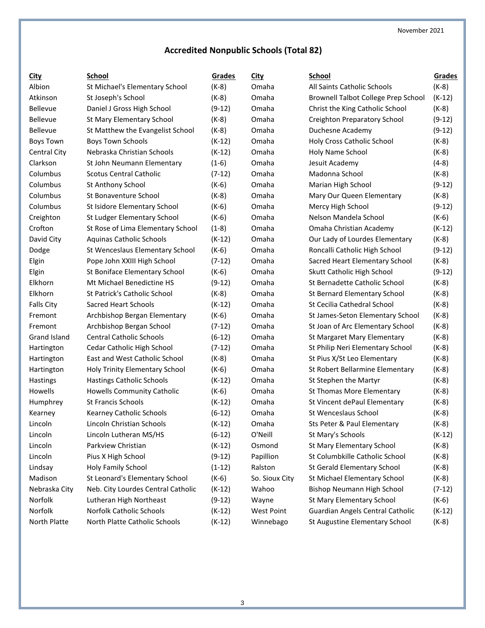# **Accredited Nonpublic Schools (Total 82)**

| <u>City</u>         | <b>School</b>                      | Grades   | City           | <b>School</b>                              | Grades   |
|---------------------|------------------------------------|----------|----------------|--------------------------------------------|----------|
| Albion              | St Michael's Elementary School     | $(K-8)$  | Omaha          | All Saints Catholic Schools                | $(K-8)$  |
| Atkinson            | St Joseph's School                 | $(K-8)$  | Omaha          | <b>Brownell Talbot College Prep School</b> | $(K-12)$ |
| Bellevue            | Daniel J Gross High School         | $(9-12)$ | Omaha          | Christ the King Catholic School            | $(K-8)$  |
| Bellevue            | St Mary Elementary School          | $(K-8)$  | Omaha          | <b>Creighton Preparatory School</b>        | $(9-12)$ |
| Bellevue            | St Matthew the Evangelist School   | $(K-8)$  | Omaha          | Duchesne Academy                           | $(9-12)$ |
| <b>Boys Town</b>    | <b>Boys Town Schools</b>           | $(K-12)$ | Omaha          | Holy Cross Catholic School                 | $(K-8)$  |
| <b>Central City</b> | Nebraska Christian Schools         | $(K-12)$ | Omaha          | Holy Name School                           | $(K-8)$  |
| Clarkson            | St John Neumann Elementary         | $(1-6)$  | Omaha          | Jesuit Academy                             | $(4-8)$  |
| Columbus            | Scotus Central Catholic            | $(7-12)$ | Omaha          | Madonna School                             | $(K-8)$  |
| Columbus            | St Anthony School                  | $(K-6)$  | Omaha          | Marian High School                         | $(9-12)$ |
| Columbus            | St Bonaventure School              | $(K-8)$  | Omaha          | Mary Our Queen Elementary                  | $(K-8)$  |
| Columbus            | St Isidore Elementary School       | $(K-6)$  | Omaha          | Mercy High School                          | $(9-12)$ |
| Creighton           | St Ludger Elementary School        | $(K-6)$  | Omaha          | Nelson Mandela School                      | $(K-6)$  |
| Crofton             | St Rose of Lima Elementary School  | $(1-8)$  | Omaha          | Omaha Christian Academy                    | $(K-12)$ |
| David City          | Aquinas Catholic Schools           | $(K-12)$ | Omaha          | Our Lady of Lourdes Elementary             | $(K-8)$  |
| Dodge               | St Wenceslaus Elementary School    | $(K-6)$  | Omaha          | Roncalli Catholic High School              | $(9-12)$ |
| Elgin               | Pope John XXIII High School        | $(7-12)$ | Omaha          | Sacred Heart Elementary School             | $(K-8)$  |
| Elgin               | St Boniface Elementary School      | $(K-6)$  | Omaha          | Skutt Catholic High School                 | $(9-12)$ |
| Elkhorn             | Mt Michael Benedictine HS          | $(9-12)$ | Omaha          | St Bernadette Catholic School              | $(K-8)$  |
| Elkhorn             | St Patrick's Catholic School       | $(K-8)$  | Omaha          | St Bernard Elementary School               | $(K-8)$  |
| <b>Falls City</b>   | Sacred Heart Schools               | $(K-12)$ | Omaha          | St Cecilia Cathedral School                | $(K-8)$  |
| Fremont             | Archbishop Bergan Elementary       | $(K-6)$  | Omaha          | St James-Seton Elementary School           | $(K-8)$  |
| Fremont             | Archbishop Bergan School           | $(7-12)$ | Omaha          | St Joan of Arc Elementary School           | $(K-8)$  |
| Grand Island        | <b>Central Catholic Schools</b>    | $(6-12)$ | Omaha          | St Margaret Mary Elementary                | $(K-8)$  |
| Hartington          | Cedar Catholic High School         | $(7-12)$ | Omaha          | St Philip Neri Elementary School           | $(K-8)$  |
| Hartington          | East and West Catholic School      | $(K-8)$  | Omaha          | St Pius X/St Leo Elementary                | $(K-8)$  |
| Hartington          | Holy Trinity Elementary School     | $(K-6)$  | Omaha          | St Robert Bellarmine Elementary            | $(K-8)$  |
| Hastings            | <b>Hastings Catholic Schools</b>   | $(K-12)$ | Omaha          | St Stephen the Martyr                      | $(K-8)$  |
| Howells             | <b>Howells Community Catholic</b>  | $(K-6)$  | Omaha          | St Thomas More Elementary                  | $(K-8)$  |
| Humphrey            | St Francis Schools                 | $(K-12)$ | Omaha          | St Vincent dePaul Elementary               | $(K-8)$  |
| Kearney             | Kearney Catholic Schools           | $(6-12)$ | Omaha          | St Wenceslaus School                       | $(K-8)$  |
| Lincoln             | Lincoln Christian Schools          | $(K-12)$ | Omaha          | Sts Peter & Paul Elementary                | $(K-8)$  |
| Lincoln             | Lincoln Lutheran MS/HS             | $(6-12)$ | O'Neill        | St Mary's Schools                          | $(K-12)$ |
| Lincoln             | Parkview Christian                 | $(K-12)$ | Osmond         | St Mary Elementary School                  | $(K-8)$  |
| Lincoln             | Pius X High School                 | $(9-12)$ | Papillion      | St Columbkille Catholic School             | $(K-8)$  |
| Lindsay             | Holy Family School                 | $(1-12)$ | Ralston        | St Gerald Elementary School                | $(K-8)$  |
| Madison             | St Leonard's Elementary School     | $(K-6)$  | So. Sioux City | St Michael Elementary School               | $(K-8)$  |
| Nebraska City       | Neb. City Lourdes Central Catholic | $(K-12)$ | Wahoo          | Bishop Neumann High School                 | $(7-12)$ |
| Norfolk             | Lutheran High Northeast            | $(9-12)$ | Wayne          | St Mary Elementary School                  | $(K-6)$  |
| Norfolk             | Norfolk Catholic Schools           | $(K-12)$ | West Point     | Guardian Angels Central Catholic           | $(K-12)$ |
| North Platte        | North Platte Catholic Schools      | $(K-12)$ | Winnebago      | St Augustine Elementary School             | $(K-8)$  |